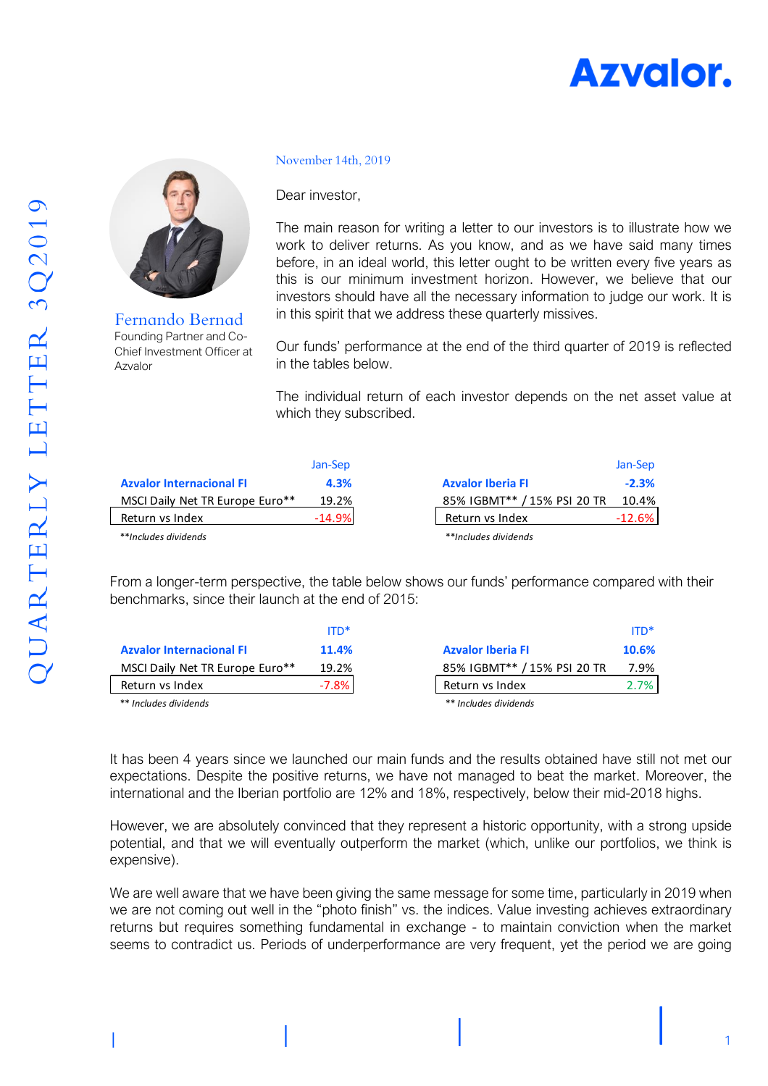





Fernando Bernad Founding Partner and Co-Chief Investment Officer at Azvalor

#### November 14th, 2019

Dear investor,

The main reason for writing a letter to our investors is to illustrate how we work to deliver returns. As you know, and as we have said many times before, in an ideal world, this letter ought to be written every five years as this is our minimum investment horizon. However, we believe that our investors should have all the necessary information to judge our work. It is in this spirit that we address these quarterly missives.

Our funds' performance at the end of the third quarter of 2019 is reflected in the tables below.

The individual return of each investor depends on the net asset value at which they subscribed.

|                                 | Jan-Sep  |                             | Jan-Sep  |
|---------------------------------|----------|-----------------------------|----------|
| <b>Azvalor Internacional FI</b> | 4.3%     | <b>Azvalor Iberia FI</b>    | $-2.3%$  |
| MSCI Daily Net TR Europe Euro** | 19.2%    | 85% IGBMT** / 15% PSI 20 TR | 10.4%    |
| Return vs Index                 | $-14.9%$ | Return vs Index             | $-12.6%$ |
| **Includes dividends            |          | **Includes dividends        |          |

From a longer-term perspective, the table below shows our funds' performance compared with their benchmarks, since their launch at the end of 2015:

|                                 | $ITD*$   |                             | $ITD*$ |
|---------------------------------|----------|-----------------------------|--------|
| <b>Azvalor Internacional FI</b> | 11.4%    | <b>Azvalor Iberia FI</b>    | 10.6%  |
| MSCI Daily Net TR Europe Euro** | 19.2%    | 85% IGBMT** / 15% PSI 20 TR | 7.9%   |
| Return vs Index                 | $-7.8\%$ | Return vs Index             | 2.7%   |
| ** Includes dividends           |          | ** Includes dividends       |        |

It has been 4 years since we launched our main funds and the results obtained have still not met our expectations. Despite the positive returns, we have not managed to beat the market. Moreover, the international and the Iberian portfolio are 12% and 18%, respectively, below their mid-2018 highs.

However, we are absolutely convinced that they represent a historic opportunity, with a strong upside potential, and that we will eventually outperform the market (which, unlike our portfolios, we think is expensive).

We are well aware that we have been giving the same message for some time, particularly in 2019 when we are not coming out well in the "photo finish" vs. the indices. Value investing achieves extraordinary returns but requires something fundamental in exchange - to maintain conviction when the market seems to contradict us. Periods of underperformance are very frequent, yet the period we are going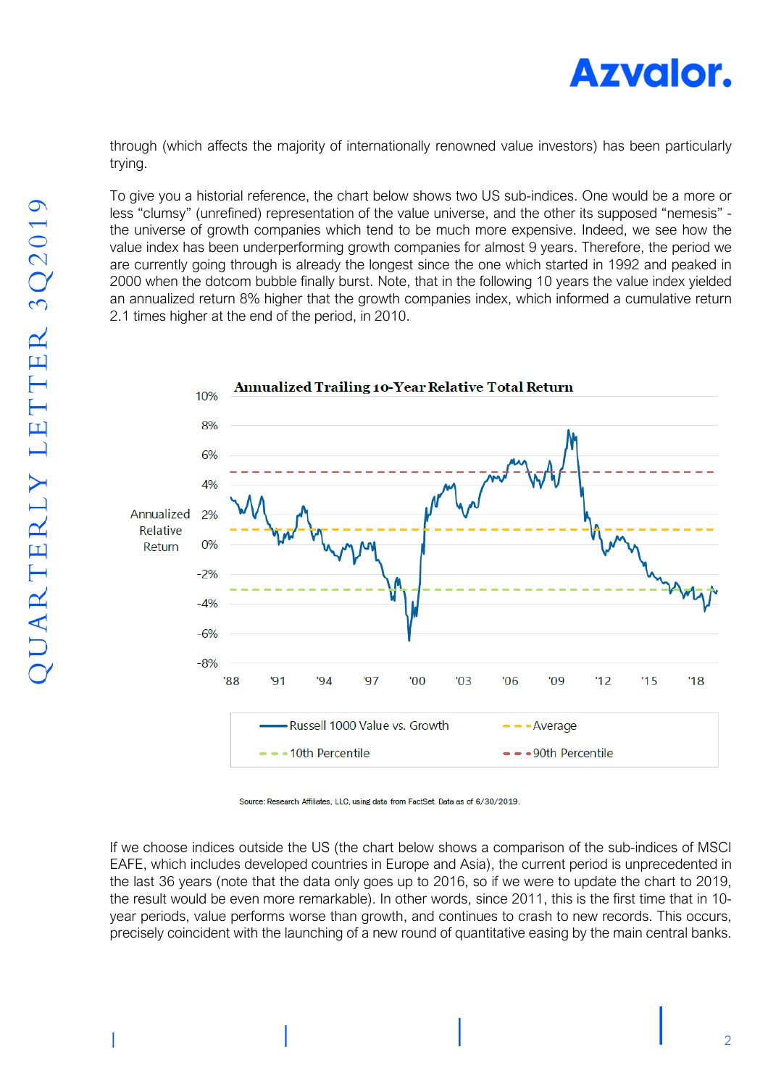

through (which affects the majority of internationally renowned value investors) has been particularly trying.

To give you a historial reference, the chart below shows two US sub-indices. One would be a more or less "clumsy" (unrefined) representation of the value universe, and the other its supposed "nemesis" the universe of growth companies which tend to be much more expensive. Indeed, we see how the value index has been underperforming growth companies for almost 9 years. Therefore, the period we are currently going through is already the longest since the one which started in 1992 and peaked in 2000 when the dotcom bubble finally burst. Note, that in the following 10 years the value index yielded an annualized return 8% higher that the growth companies index, which informed a cumulative return 2.1 times higher at the end of the period, in 2010.



Source: Research Affiliates, LLC, using data from FactSet, Data as of 6/30/2019.

If we choose indices outside the US (the chart below shows a comparison of the sub-indices of MSCI EAFE, which includes developed countries in Europe and Asia), the current period is unprecedented in the last 36 years (note that the data only goes up to 2016, so if we were to update the chart to 2019, the result would be even more remarkable). In other words, since 2011, this is the first time that in 10 year periods, value performs worse than growth, and continues to crash to new records. This occurs, precisely coincident with the launching of a new round of quantitative easing by the main central banks.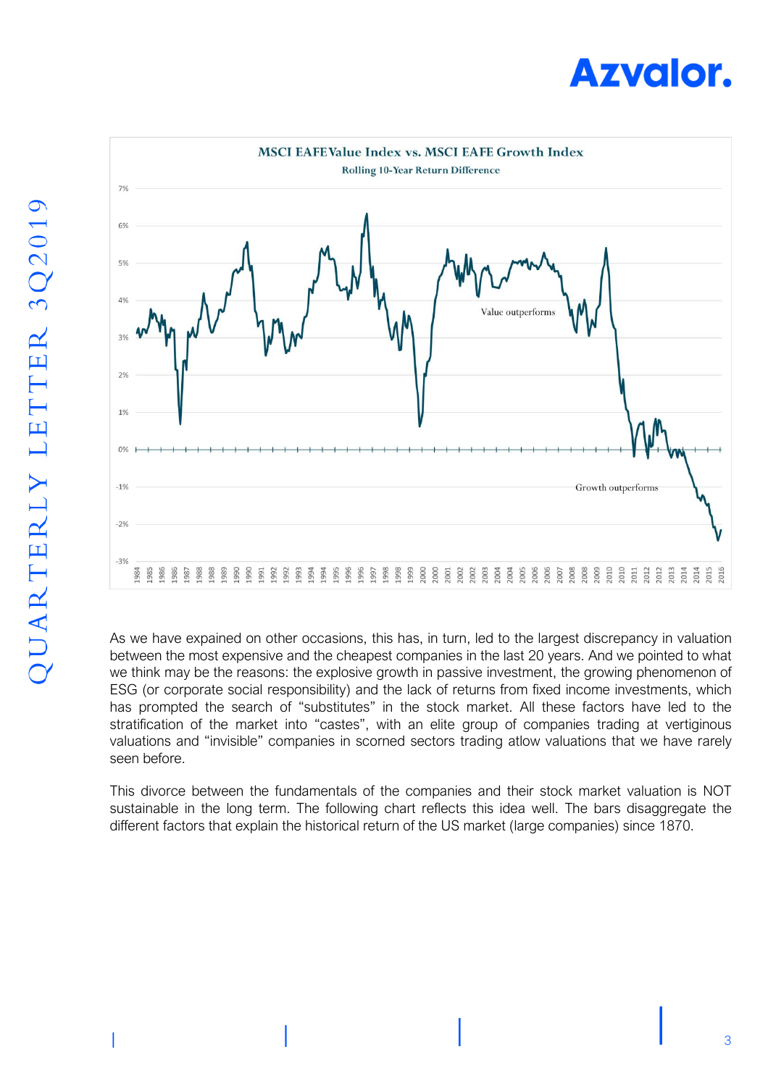



As we have expained on other occasions, this has, in turn, led to the largest discrepancy in valuation between the most expensive and the cheapest companies in the last 20 years. And we pointed to what we think may be the reasons: the explosive growth in passive investment, the growing phenomenon of ESG (or corporate social responsibility) and the lack of returns from fixed income investments, which has prompted the search of "substitutes" in the stock market. All these factors have led to the stratification of the market into "castes", with an elite group of companies trading at vertiginous valuations and "invisible" companies in scorned sectors trading atlow valuations that we have rarely seen before.

This divorce between the fundamentals of the companies and their stock market valuation is NOT sustainable in the long term. The following chart reflects this idea well. The bars disaggregate the different factors that explain the historical return of the US market (large companies) since 1870.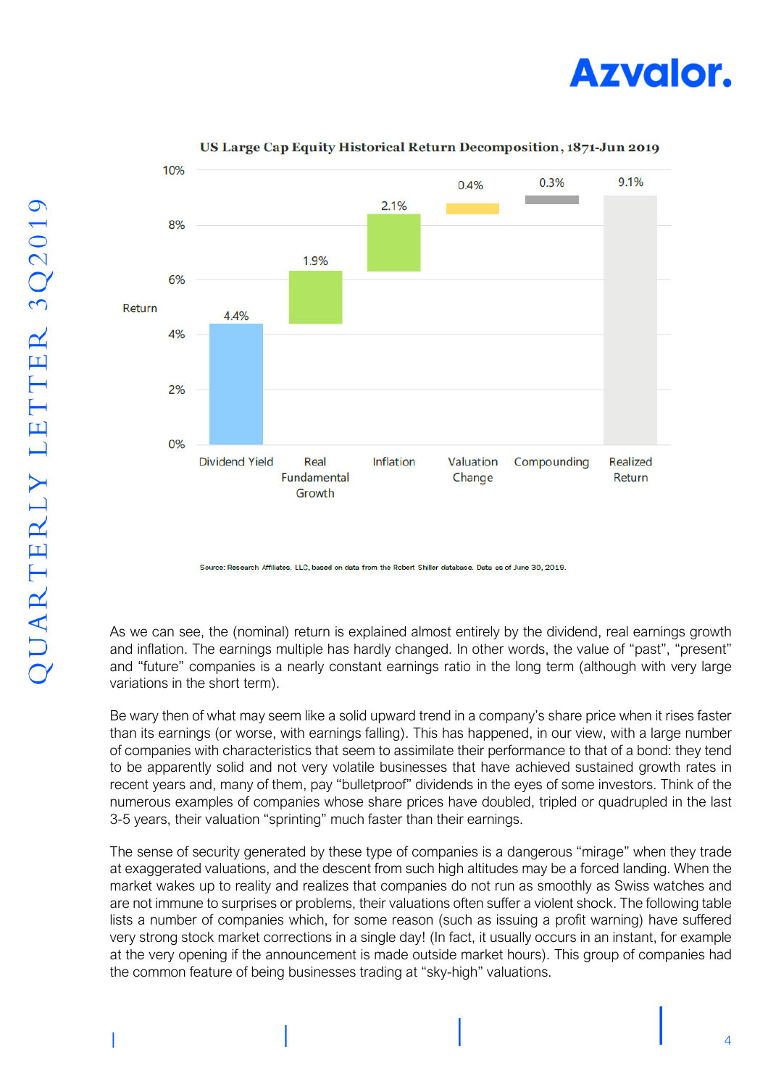



### US Large Cap Equity Historical Return Decomposition, 1871-Jun 2019

Source: Research Affiliates, LLC, based on data from the Robert Shiller database. Data as of June 30, 2019.

As we can see, the (nominal) return is explained almost entirely by the dividend, real earnings growth and inflation. The earnings multiple has hardly changed. In other words, the value of "past", "present" and "future" companies is a nearly constant earnings ratio in the long term (although with very large variations in the short term).

Be wary then of what may seem like a solid upward trend in a company's share price when it rises faster than its earnings (or worse, with earnings falling). This has happened, in our view, with a large number of companies with characteristics that seem to assimilate their performance to that of a bond: they tend to be apparently solid and not very volatile businesses that have achieved sustained growth rates in recent years and, many of them, pay "bulletproof" dividends in the eyes of some investors. Think of the numerous examples of companies whose share prices have doubled, tripled or quadrupled in the last 3-5 years, their valuation "sprinting" much faster than their earnings.

The sense of security generated by these type of companies is a dangerous "mirage" when they trade at exaggerated valuations, and the descent from such high altitudes may be a forced landing. When the market wakes up to reality and realizes that companies do not run as smoothly as Swiss watches and are not immune to surprises or problems, their valuations often suffer a violent shock. The following table lists a number of companies which, for some reason (such as issuing a profit warning) have suffered very strong stock market corrections in a single day! (In fact, it usually occurs in an instant, for example at the very opening if the announcement is made outside market hours). This group of companies had the common feature of being businesses trading at "sky-high" valuations.

4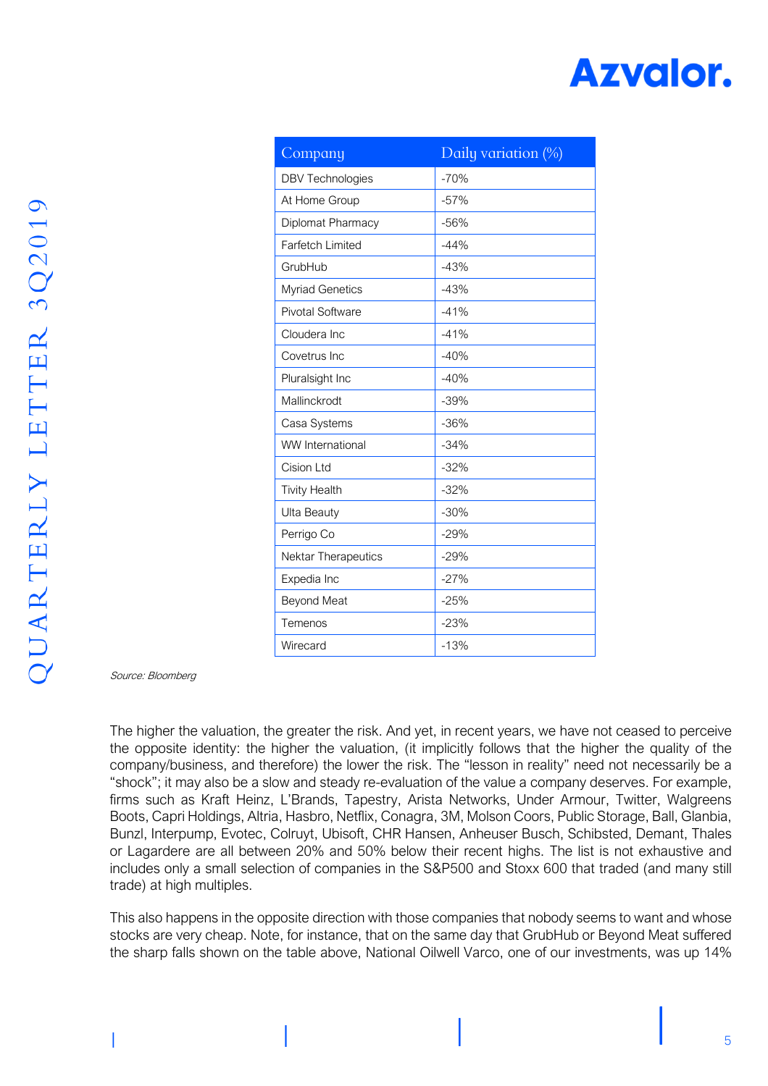# **Azvalor.**

| Company                 | Daily variation (%) |
|-------------------------|---------------------|
| <b>DBV Technologies</b> | $-70%$              |
| At Home Group           | $-57%$              |
| Diplomat Pharmacy       | $-56%$              |
| <b>Farfetch Limited</b> | $-44%$              |
| GrubHub                 | $-43%$              |
| <b>Myriad Genetics</b>  | $-43%$              |
| Pivotal Software        | $-41%$              |
| Cloudera Inc            | $-41%$              |
| Covetrus Inc.           | $-40%$              |
| Pluralsight Inc         | $-40%$              |
| Mallinckrodt            | $-39%$              |
| Casa Systems            | $-36%$              |
| <b>WW</b> International | $-34%$              |
| Cision Ltd              | $-32%$              |
| <b>Tivity Health</b>    | $-32%$              |
| Ulta Beauty             | $-30%$              |
| Perrigo Co              | $-29%$              |
| Nektar Therapeutics     | $-29%$              |
| Expedia Inc             | $-27%$              |
| <b>Beyond Meat</b>      | $-25%$              |
| Temenos                 | $-23%$              |
| Wirecard                | $-13%$              |

Source: Bloomberg

The higher the valuation, the greater the risk. And yet, in recent years, we have not ceased to perceive the opposite identity: the higher the valuation, (it implicitly follows that the higher the quality of the company/business, and therefore) the lower the risk. The "lesson in reality" need not necessarily be a "shock"; it may also be a slow and steady re-evaluation of the value a company deserves. For example, firms such as Kraft Heinz, L'Brands, Tapestry, Arista Networks, Under Armour, Twitter, Walgreens Boots, Capri Holdings, Altria, Hasbro, Netflix, Conagra, 3M, Molson Coors, Public Storage, Ball, Glanbia, Bunzl, Interpump, Evotec, Colruyt, Ubisoft, CHR Hansen, Anheuser Busch, Schibsted, Demant, Thales or Lagardere are all between 20% and 50% below their recent highs. The list is not exhaustive and includes only a small selection of companies in the S&P500 and Stoxx 600 that traded (and many still trade) at high multiples.

This also happens in the opposite direction with those companies that nobody seems to want and whose stocks are very cheap. Note, for instance, that on the same day that GrubHub or Beyond Meat suffered the sharp falls shown on the table above, National Oilwell Varco, one of our investments, was up 14%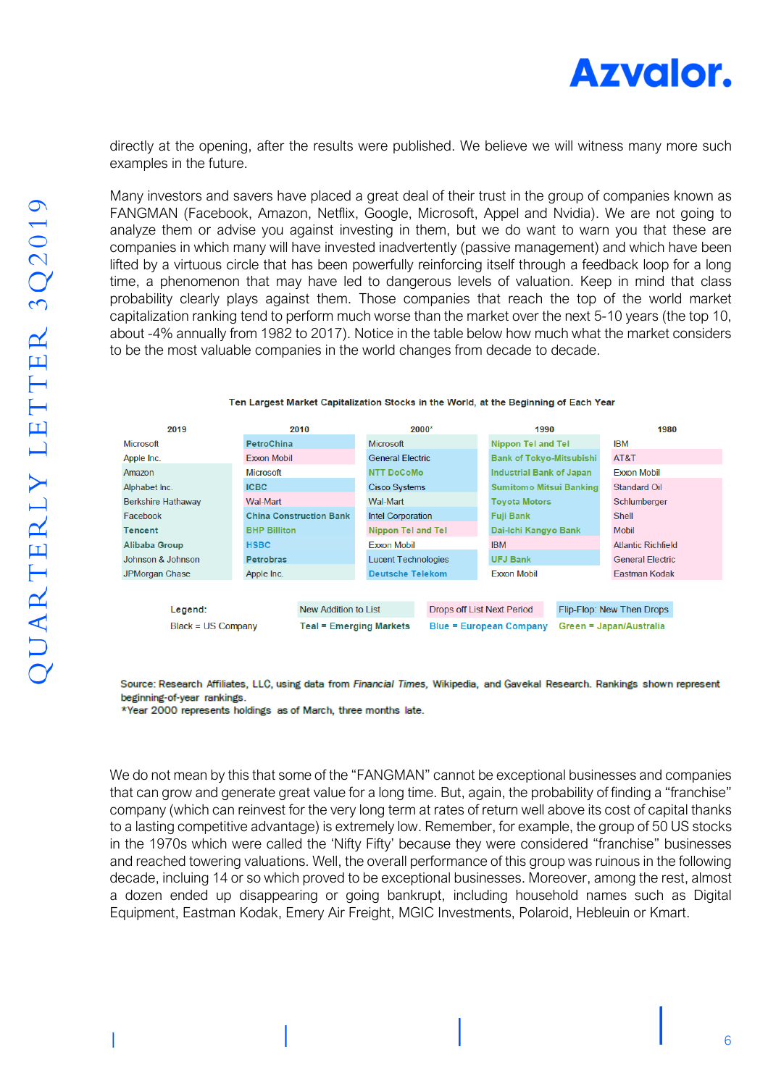

directly at the opening, after the results were published. We believe we will witness many more such examples in the future.

Many investors and savers have placed a great deal of their trust in the group of companies known as FANGMAN (Facebook, Amazon, Netflix, Google, Microsoft, Appel and Nvidia). We are not going to analyze them or advise you against investing in them, but we do want to warn you that these are companies in which many will have invested inadvertently (passive management) and which have been lifted by a virtuous circle that has been powerfully reinforcing itself through a feedback loop for a long time, a phenomenon that may have led to dangerous levels of valuation. Keep in mind that class probability clearly plays against them. Those companies that reach the top of the world market capitalization ranking tend to perform much worse than the market over the next 5-10 years (the top 10, about -4% annually from 1982 to 2017). Notice in the table below how much what the market considers to be the most valuable companies in the world changes from decade to decade.

| 2019                            | 2010                           |                            | 2000*                             | 1990                            |                                 | 1980                      |
|---------------------------------|--------------------------------|----------------------------|-----------------------------------|---------------------------------|---------------------------------|---------------------------|
| <b>Microsoft</b>                | <b>PetroChina</b>              | <b>Microsoft</b>           |                                   | <b>Nippon Tel and Tel</b>       |                                 | <b>IBM</b>                |
| Apple Inc.                      | <b>Exxon Mobil</b>             | <b>General Electric</b>    |                                   |                                 | <b>Bank of Tokyo-Mitsubishi</b> |                           |
| Amazon                          | <b>Microsoft</b>               | <b>NTT DoCoMo</b>          |                                   | <b>Industrial Bank of Japan</b> |                                 | <b>Exxon Mobil</b>        |
| Alphabet Inc.                   | <b>ICBC</b>                    |                            | Cisco Systems                     |                                 | <b>Sumitomo Mitsui Banking</b>  |                           |
| <b>Berkshire Hathaway</b>       | Wal-Mart                       | Wal-Mart                   |                                   |                                 | <b>Toyota Motors</b>            |                           |
| Facebook                        | <b>China Construction Bank</b> | Intel Corporation          |                                   | <b>Fuji Bank</b>                |                                 | <b>Shell</b>              |
| Tencent                         | <b>BHP Billiton</b>            | <b>Nippon Tel and Tel</b>  |                                   | Dai-Ichi Kangyo Bank            |                                 | <b>Mobil</b>              |
| Alibaba Group                   | <b>HSBC</b>                    | Exxon Mobil                |                                   | <b>IBM</b>                      |                                 | <b>Atlantic Richfield</b> |
| Johnson & Johnson               | <b>Petrobras</b>               | <b>Lucent Technologies</b> |                                   | <b>UFJ Bank</b>                 |                                 | <b>General Electric</b>   |
| JPMorgan Chase                  | Apple Inc.                     | <b>Deutsche Telekom</b>    |                                   | <b>Exxon Mobil</b>              |                                 | Eastman Kodak             |
|                                 |                                |                            |                                   |                                 |                                 |                           |
| New Addition to List<br>Legend: |                                |                            | <b>Drops off List Next Period</b> |                                 |                                 | Flip-Flop: New Then Drops |
| $Black = US Company$            |                                | 「eal = Emerɑinɑ Markets    |                                   | <b>Blue = European Company</b>  |                                 | Green = Japan/Australia   |

#### Ten Largest Market Capitalization Stocks in the World, at the Beginning of Each Year

Source: Research Affiliates, LLC, using data from Financial Times, Wikipedia, and Gavekal Research. Rankings shown represent beginning-of-year rankings.

\*Year 2000 represents holdings as of March, three months late.

We do not mean by this that some of the "FANGMAN" cannot be exceptional businesses and companies that can grow and generate great value for a long time. But, again, the probability of finding a "franchise" company (which can reinvest for the very long term at rates of return well above its cost of capital thanks to a lasting competitive advantage) is extremely low. Remember, for example, the group of 50 US stocks in the 1970s which were called the 'Nifty Fifty' because they were considered "franchise" businesses and reached towering valuations. Well, the overall performance of this group was ruinous in the following decade, incluing 14 or so which proved to be exceptional businesses. Moreover, among the rest, almost a dozen ended up disappearing or going bankrupt, including household names such as Digital Equipment, Eastman Kodak, Emery Air Freight, MGIC Investments, Polaroid, Hebleuin or Kmart.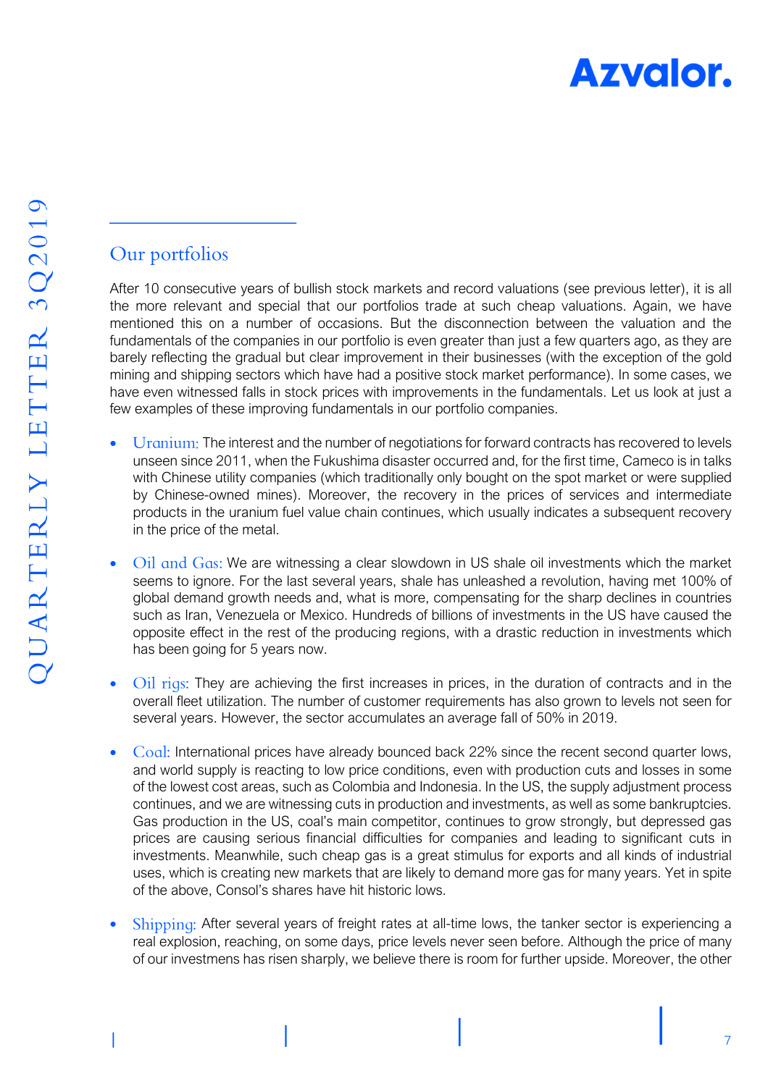

## Our portfolios

After 10 consecutive years of bullish stock markets and record valuations (see previous letter), it is all the more relevant and special that our portfolios trade at such cheap valuations. Again, we have mentioned this on a number of occasions. But the disconnection between the valuation and the fundamentals of the companies in our portfolio is even greater than just a few quarters ago, as they are barely reflecting the gradual but clear improvement in their businesses (with the exception of the gold mining and shipping sectors which have had a positive stock market performance). In some cases, we have even witnessed falls in stock prices with improvements in the fundamentals. Let us look at just a few examples of these improving fundamentals in our portfolio companies.

- Uranium: The interest and the number of negotiations for forward contracts has recovered to levels unseen since 2011, when the Fukushima disaster occurred and, for the first time, Cameco is in talks with Chinese utility companies (which traditionally only bought on the spot market or were supplied by Chinese-owned mines). Moreover, the recovery in the prices of services and intermediate products in the uranium fuel value chain continues, which usually indicates a subsequent recovery in the price of the metal.
- Oil and Gas: We are witnessing a clear slowdown in US shale oil investments which the market seems to ignore. For the last several years, shale has unleashed a revolution, having met 100% of global demand growth needs and, what is more, compensating for the sharp declines in countries such as Iran, Venezuela or Mexico. Hundreds of billions of investments in the US have caused the opposite effect in the rest of the producing regions, with a drastic reduction in investments which has been going for 5 years now.
- Oil rigs: They are achieving the first increases in prices, in the duration of contracts and in the overall fleet utilization. The number of customer requirements has also grown to levels not seen for several years. However, the sector accumulates an average fall of 50% in 2019.
- Coal: International prices have already bounced back 22% since the recent second quarter lows, and world supply is reacting to low price conditions, even with production cuts and losses in some of the lowest cost areas, such as Colombia and Indonesia. In the US, the supply adjustment process continues, and we are witnessing cuts in production and investments, as well as some bankruptcies. Gas production in the US, coal's main competitor, continues to grow strongly, but depressed gas prices are causing serious financial difficulties for companies and leading to significant cuts in investments. Meanwhile, such cheap gas is a great stimulus for exports and all kinds of industrial uses, which is creating new markets that are likely to demand more gas for many years. Yet in spite of the above, Consol's shares have hit historic lows.
- Shipping: After several years of freight rates at all-time lows, the tanker sector is experiencing a real explosion, reaching, on some days, price levels never seen before. Although the price of many of our investmens has risen sharply, we believe there is room for further upside. Moreover, the other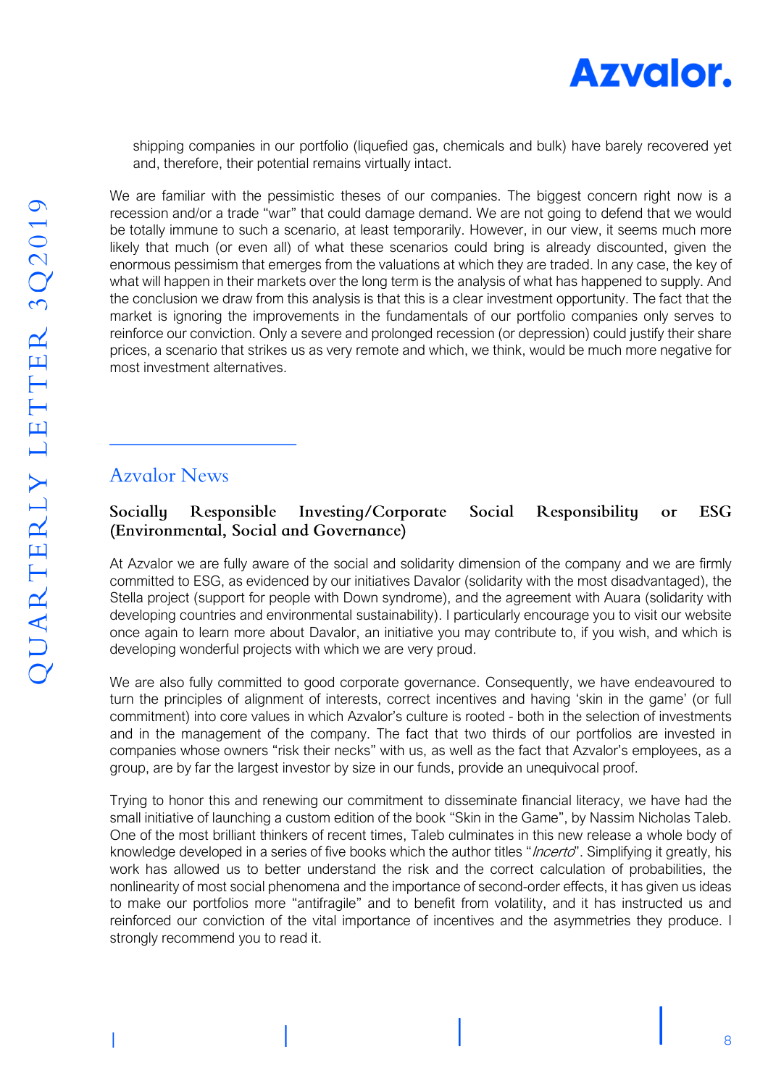

shipping companies in our portfolio (liquefied gas, chemicals and bulk) have barely recovered yet and, therefore, their potential remains virtually intact.

We are familiar with the pessimistic theses of our companies. The biggest concern right now is a recession and/or a trade "war" that could damage demand. We are not going to defend that we would be totally immune to such a scenario, at least temporarily. However, in our view, it seems much more likely that much (or even all) of what these scenarios could bring is already discounted, given the enormous pessimism that emerges from the valuations at which they are traded. In any case, the key of what will happen in their markets over the long term is the analysis of what has happened to supply. And the conclusion we draw from this analysis is that this is a clear investment opportunity. The fact that the market is ignoring the improvements in the fundamentals of our portfolio companies only serves to reinforce our conviction. Only a severe and prolonged recession (or depression) could justify their share prices, a scenario that strikes us as very remote and which, we think, would be much more negative for most investment alternatives.

### **Azyalor News**

#### Responsible Investing/Corporate Social Responsibility **ESG** Socially or (Environmental, Social and Governance)

At Azvalor we are fully aware of the social and solidarity dimension of the company and we are firmly committed to ESG, as evidenced by our initiatives Davalor (solidarity with the most disadvantaged), the Stella project (support for people with Down syndrome), and the agreement with Auara (solidarity with developing countries and environmental sustainability). I particularly encourage you to visit our website once again to learn more about Davalor, an initiative you may contribute to, if you wish, and which is developing wonderful projects with which we are very proud.

We are also fully committed to good corporate governance. Consequently, we have endeavoured to turn the principles of alignment of interests, correct incentives and having 'skin in the game' (or full commitment) into core values in which Azvalor's culture is rooted - both in the selection of investments and in the management of the company. The fact that two thirds of our portfolios are invested in companies whose owners "risk their necks" with us, as well as the fact that Azvalor's employees, as a group, are by far the largest investor by size in our funds, provide an unequivocal proof.

Trying to honor this and renewing our commitment to disseminate financial literacy, we have had the small initiative of launching a custom edition of the book "Skin in the Game", by Nassim Nicholas Taleb. One of the most brilliant thinkers of recent times, Taleb culminates in this new release a whole body of knowledge developed in a series of five books which the author titles "*Incerto*". Simplifying it greatly, his work has allowed us to better understand the risk and the correct calculation of probabilities, the nonlinearity of most social phenomena and the importance of second-order effects, it has given us ideas to make our portfolios more "antifragile" and to benefit from volatility, and it has instructed us and reinforced our conviction of the vital importance of incentives and the asymmetries they produce. I strongly recommend you to read it.